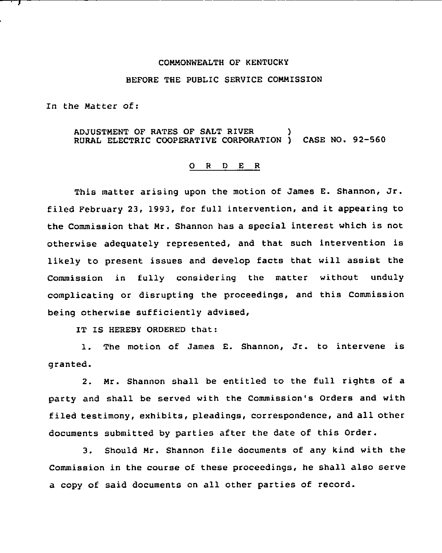## COMMONWEALTH OF KENTUCKY

## BEFORE THE PUBLIC SERVICE COMMISSION

In the Matter of:

## ADJUSTMENT OF RATES OF SALT RIVER ) RURAL ELECTRIC COOPERATIVE CORPORATION ) CASE NO. 92-560

## O R D E R

This matter arising upon the motion of James E. Shannon, Jr. filed February 23, 1993, for full intervention, and it appearing to the Commission that Mr. Shannon has a special interest which is not otherwise adequately represented, and that such intervention is likely to present issues and develop facts that will assist the Commission in fully considering the matter without unduly complicating or disrupting the proceedings, and this Commission being otherwise sufficiently advised,

IT IS HEREBY ORDERED that:

1. The motion of James E. Shannon, Jr. to intervene is granted.

2. Mr. Shannon shall be entitled to the full rights of a party and shall be served with the Commission's Orders and with filed testimony, exhibits, pleadings, correspondence, and all other documents submitted by parties after the date of this Order.

3. Should Mr. Shannon file documents of any kind with the Commission in the course of these proceedings, he shall also serve a copy of said documents on all other parties of record.